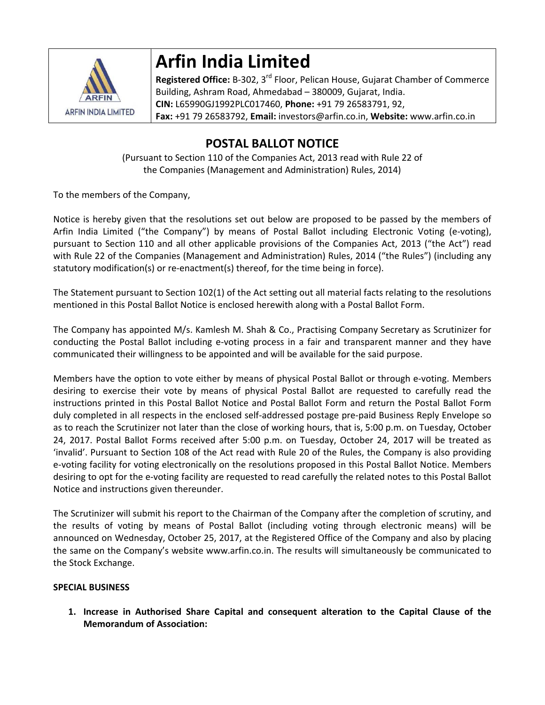

# **Arfin India Limited**

**Registered Office:** B‐302, 3rd Floor, Pelican House, Gujarat Chamber of Commerce Building, Ashram Road, Ahmedabad – 380009, Gujarat, India. **CIN:** L65990GJ1992PLC017460, **Phone:** +91 79 26583791, 92, **Fax:** +91 79 26583792, **Email:** investors@arfin.co.in, **Website:** www.arfin.co.in

# **POSTAL BALLOT NOTICE**

(Pursuant to Section 110 of the Companies Act, 2013 read with Rule 22 of the Companies (Management and Administration) Rules, 2014)

To the members of the Company,

Notice is hereby given that the resolutions set out below are proposed to be passed by the members of Arfin India Limited ("the Company") by means of Postal Ballot including Electronic Voting (e‐voting), pursuant to Section 110 and all other applicable provisions of the Companies Act, 2013 ("the Act") read with Rule 22 of the Companies (Management and Administration) Rules, 2014 ("the Rules") (including any statutory modification(s) or re‐enactment(s) thereof, for the time being in force).

The Statement pursuant to Section 102(1) of the Act setting out all material facts relating to the resolutions mentioned in this Postal Ballot Notice is enclosed herewith along with a Postal Ballot Form.

The Company has appointed M/s. Kamlesh M. Shah & Co., Practising Company Secretary as Scrutinizer for conducting the Postal Ballot including e‐voting process in a fair and transparent manner and they have communicated their willingness to be appointed and will be available for the said purpose.

Members have the option to vote either by means of physical Postal Ballot or through e‐voting. Members desiring to exercise their vote by means of physical Postal Ballot are requested to carefully read the instructions printed in this Postal Ballot Notice and Postal Ballot Form and return the Postal Ballot Form duly completed in all respects in the enclosed self‐addressed postage pre‐paid Business Reply Envelope so as to reach the Scrutinizer not later than the close of working hours, that is, 5:00 p.m. on Tuesday, October 24, 2017. Postal Ballot Forms received after 5:00 p.m. on Tuesday, October 24, 2017 will be treated as 'invalid'. Pursuant to Section 108 of the Act read with Rule 20 of the Rules, the Company is also providing e‐voting facility for voting electronically on the resolutions proposed in this Postal Ballot Notice. Members desiring to opt for the e‐voting facility are requested to read carefully the related notes to this Postal Ballot Notice and instructions given thereunder.

The Scrutinizer will submit his report to the Chairman of the Company after the completion of scrutiny, and the results of voting by means of Postal Ballot (including voting through electronic means) will be announced on Wednesday, October 25, 2017, at the Registered Office of the Company and also by placing the same on the Company's website www.arfin.co.in. The results will simultaneously be communicated to the Stock Exchange.

# **SPECIAL BUSINESS**

**1. Increase in Authorised Share Capital and consequent alteration to the Capital Clause of the Memorandum of Association:**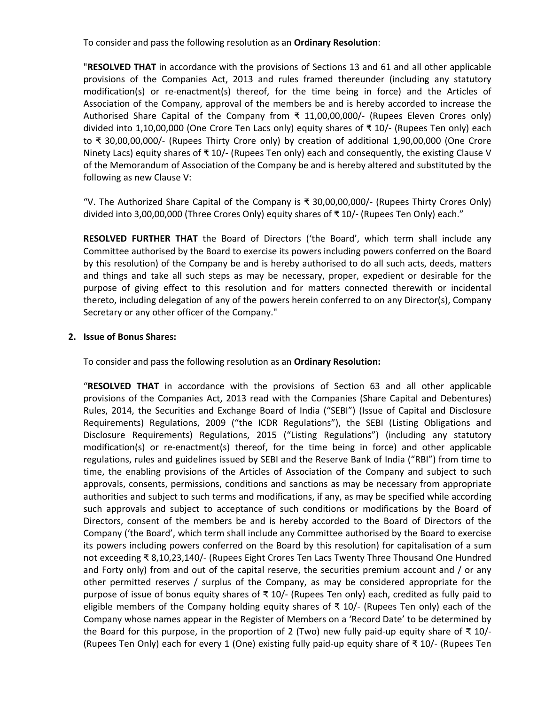To consider and pass the following resolution as an **Ordinary Resolution**:

"**RESOLVED THAT** in accordance with the provisions of Sections 13 and 61 and all other applicable provisions of the Companies Act, 2013 and rules framed thereunder (including any statutory modification(s) or re-enactment(s) thereof, for the time being in force) and the Articles of Association of the Company, approval of the members be and is hereby accorded to increase the Authorised Share Capital of the Company from ₹ 11,00,00,000/‐ (Rupees Eleven Crores only) divided into 1,10,00,000 (One Crore Ten Lacs only) equity shares of ₹ 10/‐ (Rupees Ten only) each to ₹ 30,00,00,000/‐ (Rupees Thirty Crore only) by creation of additional 1,90,00,000 (One Crore Ninety Lacs) equity shares of ₹ 10/‐ (Rupees Ten only) each and consequently, the existing Clause V of the Memorandum of Association of the Company be and is hereby altered and substituted by the following as new Clause V:

"V. The Authorized Share Capital of the Company is ₹ 30,00,00,000/‐ (Rupees Thirty Crores Only) divided into 3,00,00,000 (Three Crores Only) equity shares of ₹ 10/‐ (Rupees Ten Only) each."

**RESOLVED FURTHER THAT** the Board of Directors ('the Board', which term shall include any Committee authorised by the Board to exercise its powers including powers conferred on the Board by this resolution) of the Company be and is hereby authorised to do all such acts, deeds, matters and things and take all such steps as may be necessary, proper, expedient or desirable for the purpose of giving effect to this resolution and for matters connected therewith or incidental thereto, including delegation of any of the powers herein conferred to on any Director(s), Company Secretary or any other officer of the Company."

# **2. Issue of Bonus Shares:**

To consider and pass the following resolution as an **Ordinary Resolution:**

"**RESOLVED THAT** in accordance with the provisions of Section 63 and all other applicable provisions of the Companies Act, 2013 read with the Companies (Share Capital and Debentures) Rules, 2014, the Securities and Exchange Board of India ("SEBI") (Issue of Capital and Disclosure Requirements) Regulations, 2009 ("the ICDR Regulations"), the SEBI (Listing Obligations and Disclosure Requirements) Regulations, 2015 ("Listing Regulations") (including any statutory modification(s) or re‐enactment(s) thereof, for the time being in force) and other applicable regulations, rules and guidelines issued by SEBI and the Reserve Bank of India ("RBI") from time to time, the enabling provisions of the Articles of Association of the Company and subject to such approvals, consents, permissions, conditions and sanctions as may be necessary from appropriate authorities and subject to such terms and modifications, if any, as may be specified while according such approvals and subject to acceptance of such conditions or modifications by the Board of Directors, consent of the members be and is hereby accorded to the Board of Directors of the Company ('the Board', which term shall include any Committee authorised by the Board to exercise its powers including powers conferred on the Board by this resolution) for capitalisation of a sum not exceeding ₹ 8,10,23,140/‐ (Rupees Eight Crores Ten Lacs Twenty Three Thousand One Hundred and Forty only) from and out of the capital reserve, the securities premium account and / or any other permitted reserves / surplus of the Company, as may be considered appropriate for the purpose of issue of bonus equity shares of ₹ 10/‐ (Rupees Ten only) each, credited as fully paid to eligible members of the Company holding equity shares of  $\bar{\tau}$  10/- (Rupees Ten only) each of the Company whose names appear in the Register of Members on a 'Record Date' to be determined by the Board for this purpose, in the proportion of 2 (Two) new fully paid-up equity share of  $\overline{x}$  10/ $\overline{z}$ (Rupees Ten Only) each for every 1 (One) existing fully paid‐up equity share of ₹ 10/‐ (Rupees Ten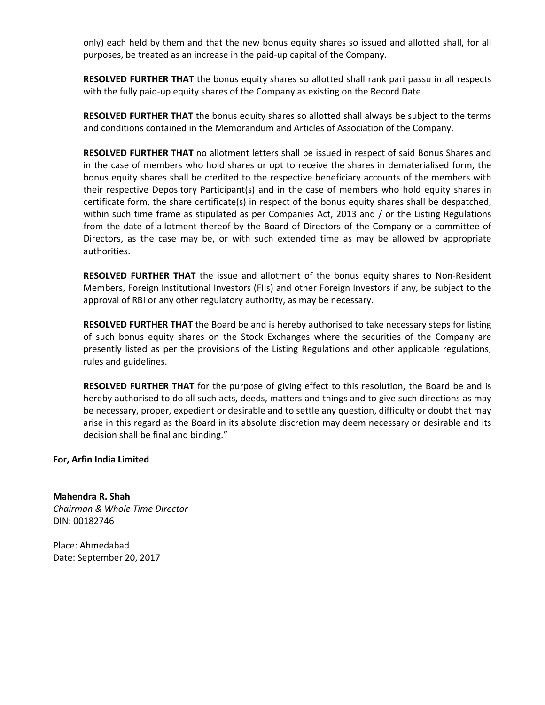only) each held by them and that the new bonus equity shares so issued and allotted shall, for all purposes, be treated as an increase in the paid‐up capital of the Company.

**RESOLVED FURTHER THAT** the bonus equity shares so allotted shall rank pari passu in all respects with the fully paid‐up equity shares of the Company as existing on the Record Date.

**RESOLVED FURTHER THAT** the bonus equity shares so allotted shall always be subject to the terms and conditions contained in the Memorandum and Articles of Association of the Company.

**RESOLVED FURTHER THAT** no allotment letters shall be issued in respect of said Bonus Shares and in the case of members who hold shares or opt to receive the shares in dematerialised form, the bonus equity shares shall be credited to the respective beneficiary accounts of the members with their respective Depository Participant(s) and in the case of members who hold equity shares in certificate form, the share certificate(s) in respect of the bonus equity shares shall be despatched, within such time frame as stipulated as per Companies Act, 2013 and / or the Listing Regulations from the date of allotment thereof by the Board of Directors of the Company or a committee of Directors, as the case may be, or with such extended time as may be allowed by appropriate authorities.

**RESOLVED FURTHER THAT** the issue and allotment of the bonus equity shares to Non‐Resident Members, Foreign Institutional Investors (FIIs) and other Foreign Investors if any, be subject to the approval of RBI or any other regulatory authority, as may be necessary.

**RESOLVED FURTHER THAT** the Board be and is hereby authorised to take necessary steps for listing of such bonus equity shares on the Stock Exchanges where the securities of the Company are presently listed as per the provisions of the Listing Regulations and other applicable regulations, rules and guidelines.

**RESOLVED FURTHER THAT** for the purpose of giving effect to this resolution, the Board be and is hereby authorised to do all such acts, deeds, matters and things and to give such directions as may be necessary, proper, expedient or desirable and to settle any question, difficulty or doubt that may arise in this regard as the Board in its absolute discretion may deem necessary or desirable and its decision shall be final and binding."

**For, Arfin India Limited**

**Mahendra R. Shah** *Chairman & Whole Time Director* DIN: 00182746

Place: Ahmedabad Date: September 20, 2017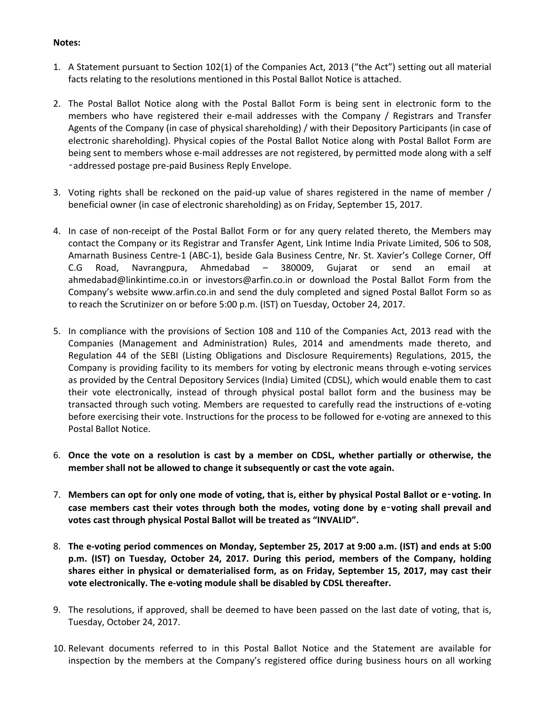# **Notes:**

- 1. A Statement pursuant to Section 102(1) of the Companies Act, 2013 ("the Act") setting out all material facts relating to the resolutions mentioned in this Postal Ballot Notice is attached.
- 2. The Postal Ballot Notice along with the Postal Ballot Form is being sent in electronic form to the members who have registered their e-mail addresses with the Company / Registrars and Transfer Agents of the Company (in case of physical shareholding) / with their Depository Participants (in case of electronic shareholding). Physical copies of the Postal Ballot Notice along with Postal Ballot Form are being sent to members whose e-mail addresses are not registered, by permitted mode along with a self ‑addressed postage pre‐paid Business Reply Envelope.
- 3. Voting rights shall be reckoned on the paid‐up value of shares registered in the name of member / beneficial owner (in case of electronic shareholding) as on Friday, September 15, 2017.
- 4. In case of non-receipt of the Postal Ballot Form or for any query related thereto, the Members may contact the Company or its Registrar and Transfer Agent, Link Intime India Private Limited, 506 to 508, Amarnath Business Centre‐1 (ABC‐1), beside Gala Business Centre, Nr. St. Xavier's College Corner, Off C.G Road, Navrangpura, Ahmedabad – 380009, Gujarat or send an email at ahmedabad@linkintime.co.in or investors@arfin.co.in or download the Postal Ballot Form from the Company's website www.arfin.co.in and send the duly completed and signed Postal Ballot Form so as to reach the Scrutinizer on or before 5:00 p.m. (IST) on Tuesday, October 24, 2017.
- 5. In compliance with the provisions of Section 108 and 110 of the Companies Act, 2013 read with the Companies (Management and Administration) Rules, 2014 and amendments made thereto, and Regulation 44 of the SEBI (Listing Obligations and Disclosure Requirements) Regulations, 2015, the Company is providing facility to its members for voting by electronic means through e‐voting services as provided by the Central Depository Services (India) Limited (CDSL), which would enable them to cast their vote electronically, instead of through physical postal ballot form and the business may be transacted through such voting. Members are requested to carefully read the instructions of e‐voting before exercising their vote. Instructions for the process to be followed for e-voting are annexed to this Postal Ballot Notice.
- 6. **Once the vote on a resolution is cast by a member on CDSL, whether partially or otherwise, the member shall not be allowed to change it subsequently or cast the vote again.**
- 7. Members can opt for only one mode of voting, that is, either by physical Postal Ballot or e-voting. In **case members cast their votes through both the modes, voting done by e**‑**voting shall prevail and votes cast through physical Postal Ballot will be treated as "INVALID".**
- 8. The e-voting period commences on Monday, September 25, 2017 at 9:00 a.m. (IST) and ends at 5:00 **p.m. (IST) on Tuesday, October 24, 2017. During this period, members of the Company, holding shares either in physical or dematerialised form, as on Friday, September 15, 2017, may cast their vote electronically. The e‐voting module shall be disabled by CDSL thereafter.**
- 9. The resolutions, if approved, shall be deemed to have been passed on the last date of voting, that is, Tuesday, October 24, 2017.
- 10. Relevant documents referred to in this Postal Ballot Notice and the Statement are available for inspection by the members at the Company's registered office during business hours on all working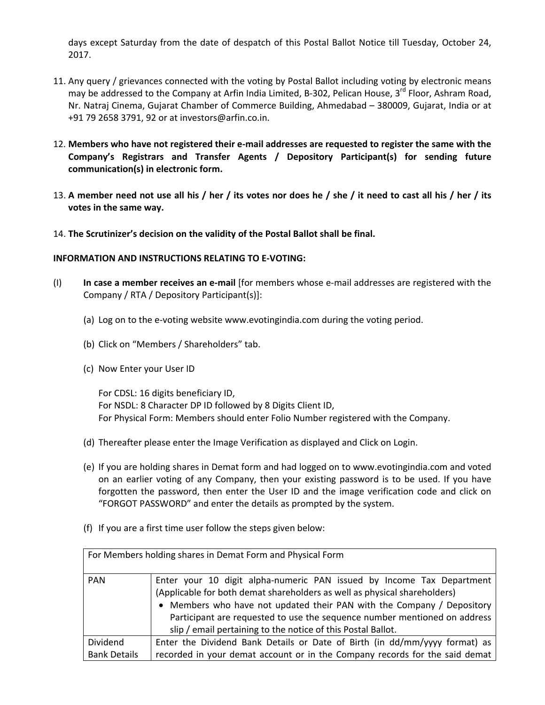days except Saturday from the date of despatch of this Postal Ballot Notice till Tuesday, October 24, 2017.

- 11. Any query / grievances connected with the voting by Postal Ballot including voting by electronic means may be addressed to the Company at Arfin India Limited, B-302, Pelican House, 3<sup>rd</sup> Floor, Ashram Road, Nr. Natraj Cinema, Gujarat Chamber of Commerce Building, Ahmedabad – 380009, Gujarat, India or at +91 79 2658 3791, 92 or at investors@arfin.co.in.
- 12. Members who have not registered their e-mail addresses are requested to register the same with the **Company's Registrars and Transfer Agents / Depository Participant(s) for sending future communication(s) in electronic form.**
- 13. A member need not use all his / her / its votes nor does he / she / it need to cast all his / her / its **votes in the same way.**
- 14. **The Scrutinizer's decision on the validity of the Postal Ballot shall be final.**

# **INFORMATION AND INSTRUCTIONS RELATING TO E‐VOTING:**

- (I) **In case a member receives an e‐mail** [for members whose e‐mail addresses are registered with the Company / RTA / Depository Participant(s)]:
	- (a) Log on to the e‐voting website www.evotingindia.com during the voting period.
	- (b) Click on "Members / Shareholders" tab.
	- (c) Now Enter your User ID

For CDSL: 16 digits beneficiary ID, For NSDL: 8 Character DP ID followed by 8 Digits Client ID, For Physical Form: Members should enter Folio Number registered with the Company.

- (d) Thereafter please enter the Image Verification as displayed and Click on Login.
- (e) If you are holding shares in Demat form and had logged on to www.evotingindia.com and voted on an earlier voting of any Company, then your existing password is to be used. If you have forgotten the password, then enter the User ID and the image verification code and click on "FORGOT PASSWORD" and enter the details as prompted by the system.
- (f) If you are a first time user follow the steps given below:

| For Members holding shares in Demat Form and Physical Form |                                                                                                                                                                                                                                                                                                                                                                           |  |  |  |  |  |
|------------------------------------------------------------|---------------------------------------------------------------------------------------------------------------------------------------------------------------------------------------------------------------------------------------------------------------------------------------------------------------------------------------------------------------------------|--|--|--|--|--|
| <b>PAN</b>                                                 | Enter your 10 digit alpha-numeric PAN issued by Income Tax Department<br>(Applicable for both demat shareholders as well as physical shareholders)<br>• Members who have not updated their PAN with the Company / Depository<br>Participant are requested to use the sequence number mentioned on address<br>slip / email pertaining to the notice of this Postal Ballot. |  |  |  |  |  |
| Dividend                                                   | Enter the Dividend Bank Details or Date of Birth (in dd/mm/yyyy format) as                                                                                                                                                                                                                                                                                                |  |  |  |  |  |
| <b>Bank Details</b>                                        | recorded in your demat account or in the Company records for the said demat                                                                                                                                                                                                                                                                                               |  |  |  |  |  |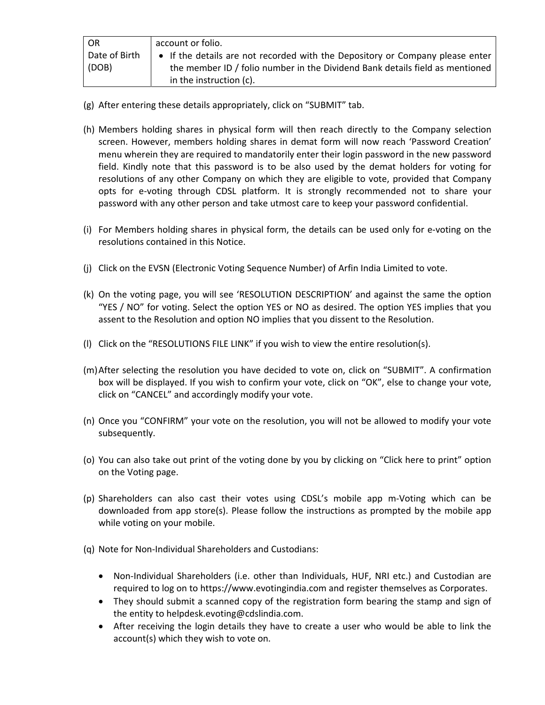| <b>OR</b>     | account or folio.                                                             |  |  |
|---------------|-------------------------------------------------------------------------------|--|--|
| Date of Birth | • If the details are not recorded with the Depository or Company please enter |  |  |
| (DOB)         | the member ID / folio number in the Dividend Bank details field as mentioned  |  |  |
|               | in the instruction (c).                                                       |  |  |

- (g) After entering these details appropriately, click on "SUBMIT" tab.
- (h) Members holding shares in physical form will then reach directly to the Company selection screen. However, members holding shares in demat form will now reach 'Password Creation' menu wherein they are required to mandatorily enter their login password in the new password field. Kindly note that this password is to be also used by the demat holders for voting for resolutions of any other Company on which they are eligible to vote, provided that Company opts for e‐voting through CDSL platform. It is strongly recommended not to share your password with any other person and take utmost care to keep your password confidential.
- (i) For Members holding shares in physical form, the details can be used only for e‐voting on the resolutions contained in this Notice.
- (j) Click on the EVSN (Electronic Voting Sequence Number) of Arfin India Limited to vote.
- (k) On the voting page, you will see 'RESOLUTION DESCRIPTION' and against the same the option "YES / NO" for voting. Select the option YES or NO as desired. The option YES implies that you assent to the Resolution and option NO implies that you dissent to the Resolution.
- (l) Click on the "RESOLUTIONS FILE LINK" if you wish to view the entire resolution(s).
- (m)After selecting the resolution you have decided to vote on, click on "SUBMIT". A confirmation box will be displayed. If you wish to confirm your vote, click on "OK", else to change your vote, click on "CANCEL" and accordingly modify your vote.
- (n) Once you "CONFIRM" your vote on the resolution, you will not be allowed to modify your vote subsequently.
- (o) You can also take out print of the voting done by you by clicking on "Click here to print" option on the Voting page.
- (p) Shareholders can also cast their votes using CDSL's mobile app m‐Voting which can be downloaded from app store(s). Please follow the instructions as prompted by the mobile app while voting on your mobile.
- (q) Note for Non‐Individual Shareholders and Custodians:
	- Non-Individual Shareholders (i.e. other than Individuals, HUF, NRI etc.) and Custodian are required to log on to https://www.evotingindia.com and register themselves as Corporates.
	- They should submit a scanned copy of the registration form bearing the stamp and sign of the entity to helpdesk.evoting@cdslindia.com.
	- After receiving the login details they have to create a user who would be able to link the account(s) which they wish to vote on.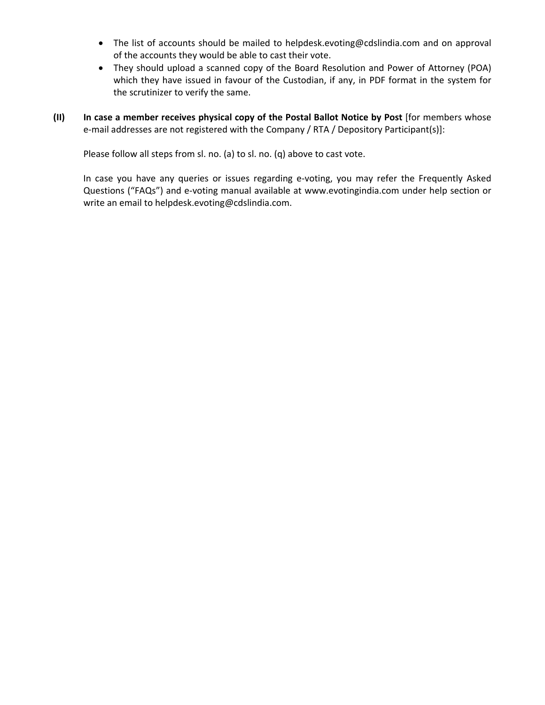- The list of accounts should be mailed to helpdesk.evoting@cdslindia.com and on approval of the accounts they would be able to cast their vote.
- They should upload a scanned copy of the Board Resolution and Power of Attorney (POA) which they have issued in favour of the Custodian, if any, in PDF format in the system for the scrutinizer to verify the same.
- **(II) In case a member receives physical copy of the Postal Ballot Notice by Post** [for members whose e-mail addresses are not registered with the Company / RTA / Depository Participant(s)]:

Please follow all steps from sl. no. (a) to sl. no. (q) above to cast vote.

In case you have any queries or issues regarding e‐voting, you may refer the Frequently Asked Questions ("FAQs") and e‐voting manual available at www.evotingindia.com under help section or write an email to helpdesk.evoting@cdslindia.com.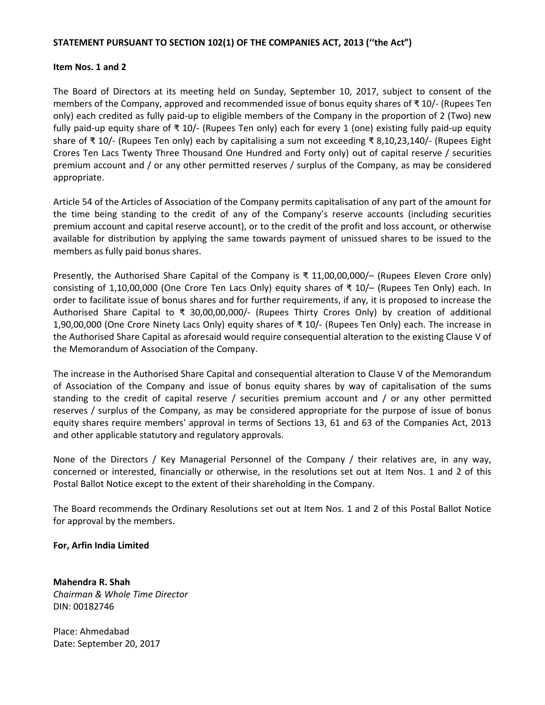### **STATEMENT PURSUANT TO SECTION 102(1) OF THE COMPANIES ACT, 2013 (''the Act")**

#### **Item Nos. 1 and 2**

The Board of Directors at its meeting held on Sunday, September 10, 2017, subject to consent of the members of the Company, approved and recommended issue of bonus equity shares of ₹ 10/‐ (Rupees Ten only) each credited as fully paid‐up to eligible members of the Company in the proportion of 2 (Two) new fully paid‐up equity share of ₹ 10/‐ (Rupees Ten only) each for every 1 (one) existing fully paid‐up equity share of ₹ 10/‐ (Rupees Ten only) each by capitalising a sum not exceeding ₹ 8,10,23,140/‐ (Rupees Eight Crores Ten Lacs Twenty Three Thousand One Hundred and Forty only) out of capital reserve / securities premium account and / or any other permitted reserves / surplus of the Company, as may be considered appropriate.

Article 54 of the Articles of Association of the Company permits capitalisation of any part of the amount for the time being standing to the credit of any of the Company's reserve accounts (including securities premium account and capital reserve account), or to the credit of the profit and loss account, or otherwise available for distribution by applying the same towards payment of unissued shares to be issued to the members as fully paid bonus shares.

Presently, the Authorised Share Capital of the Company is  $\bar{x}$  11,00,00,000/– (Rupees Eleven Crore only) consisting of 1,10,00,000 (One Crore Ten Lacs Only) equity shares of ₹ 10/– (Rupees Ten Only) each. In order to facilitate issue of bonus shares and for further requirements, if any, it is proposed to increase the Authorised Share Capital to ₹ 30,00,00,000/‐ (Rupees Thirty Crores Only) by creation of additional 1,90,00,000 (One Crore Ninety Lacs Only) equity shares of ₹ 10/‐ (Rupees Ten Only) each. The increase in the Authorised Share Capital as aforesaid would require consequential alteration to the existing Clause V of the Memorandum of Association of the Company.

The increase in the Authorised Share Capital and consequential alteration to Clause V of the Memorandum of Association of the Company and issue of bonus equity shares by way of capitalisation of the sums standing to the credit of capital reserve / securities premium account and / or any other permitted reserves / surplus of the Company, as may be considered appropriate for the purpose of issue of bonus equity shares require members' approval in terms of Sections 13, 61 and 63 of the Companies Act, 2013 and other applicable statutory and regulatory approvals.

None of the Directors / Key Managerial Personnel of the Company / their relatives are, in any way, concerned or interested, financially or otherwise, in the resolutions set out at Item Nos. 1 and 2 of this Postal Ballot Notice except to the extent of their shareholding in the Company.

The Board recommends the Ordinary Resolutions set out at Item Nos. 1 and 2 of this Postal Ballot Notice for approval by the members.

#### **For, Arfin India Limited**

**Mahendra R. Shah** *Chairman & Whole Time Director* DIN: 00182746

Place: Ahmedabad Date: September 20, 2017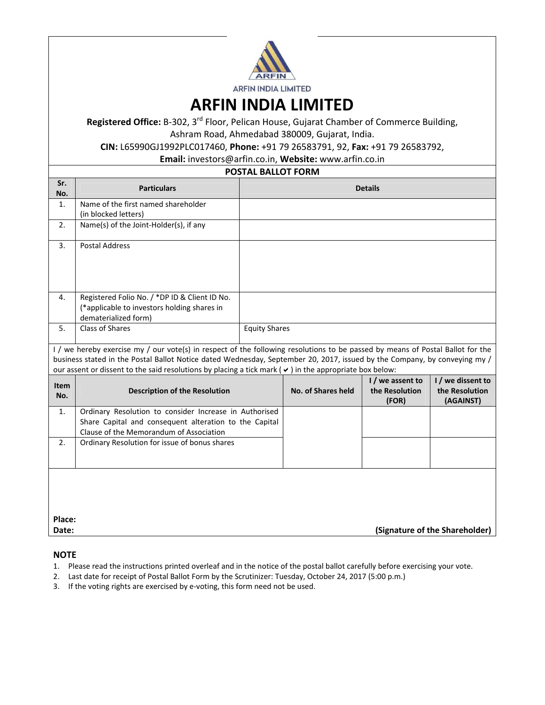

**ARFIN INDIA LIMITED**

**Registered Office:** B‐302, 3rd Floor, Pelican House, Gujarat Chamber of Commerce Building, Ashram Road, Ahmedabad 380009, Gujarat, India.

**CIN:** L65990GJ1992PLC017460, **Phone:** +91 79 26583791, 92, **Fax:** +91 79 26583792,

**Email:** investors@arfin.co.in, **Website:** www.arfin.co.in

#### **POSTAL BALLOT FORM**

| Sr.<br>No.                                                                                                                                                                                                                                                                                                                                                                   | <b>Particulars</b>                                                                                                                                          | <b>Details</b>       |                    |                                             |                                                  |  |  |  |
|------------------------------------------------------------------------------------------------------------------------------------------------------------------------------------------------------------------------------------------------------------------------------------------------------------------------------------------------------------------------------|-------------------------------------------------------------------------------------------------------------------------------------------------------------|----------------------|--------------------|---------------------------------------------|--------------------------------------------------|--|--|--|
| 1.                                                                                                                                                                                                                                                                                                                                                                           | Name of the first named shareholder<br>(in blocked letters)                                                                                                 |                      |                    |                                             |                                                  |  |  |  |
| 2.                                                                                                                                                                                                                                                                                                                                                                           | Name(s) of the Joint-Holder(s), if any                                                                                                                      |                      |                    |                                             |                                                  |  |  |  |
| 3.                                                                                                                                                                                                                                                                                                                                                                           | <b>Postal Address</b>                                                                                                                                       |                      |                    |                                             |                                                  |  |  |  |
| 4.                                                                                                                                                                                                                                                                                                                                                                           | Registered Folio No. / *DP ID & Client ID No.<br>(*applicable to investors holding shares in<br>dematerialized form)                                        |                      |                    |                                             |                                                  |  |  |  |
| 5.                                                                                                                                                                                                                                                                                                                                                                           | Class of Shares                                                                                                                                             | <b>Equity Shares</b> |                    |                                             |                                                  |  |  |  |
| I / we hereby exercise my / our vote(s) in respect of the following resolutions to be passed by means of Postal Ballot for the<br>business stated in the Postal Ballot Notice dated Wednesday, September 20, 2017, issued by the Company, by conveying my /<br>our assent or dissent to the said resolutions by placing a tick mark ( $\vee$ ) in the appropriate box below: |                                                                                                                                                             |                      |                    |                                             |                                                  |  |  |  |
| <b>Item</b><br>No.                                                                                                                                                                                                                                                                                                                                                           | <b>Description of the Resolution</b>                                                                                                                        |                      | No. of Shares held | I / we assent to<br>the Resolution<br>(FOR) | I / we dissent to<br>the Resolution<br>(AGAINST) |  |  |  |
| 1.                                                                                                                                                                                                                                                                                                                                                                           | Ordinary Resolution to consider Increase in Authorised<br>Share Capital and consequent alteration to the Capital<br>Clause of the Memorandum of Association |                      |                    |                                             |                                                  |  |  |  |
| 2.                                                                                                                                                                                                                                                                                                                                                                           | Ordinary Resolution for issue of bonus shares                                                                                                               |                      |                    |                                             |                                                  |  |  |  |
| Place:                                                                                                                                                                                                                                                                                                                                                                       |                                                                                                                                                             |                      |                    |                                             |                                                  |  |  |  |
| Date:                                                                                                                                                                                                                                                                                                                                                                        | (Signature of the Shareholder)                                                                                                                              |                      |                    |                                             |                                                  |  |  |  |

#### **NOTE**

- 1. Please read the instructions printed overleaf and in the notice of the postal ballot carefully before exercising your vote.
- 2. Last date for receipt of Postal Ballot Form by the Scrutinizer: Tuesday, October 24, 2017 (5:00 p.m.)
- 3. If the voting rights are exercised by e-voting, this form need not be used.